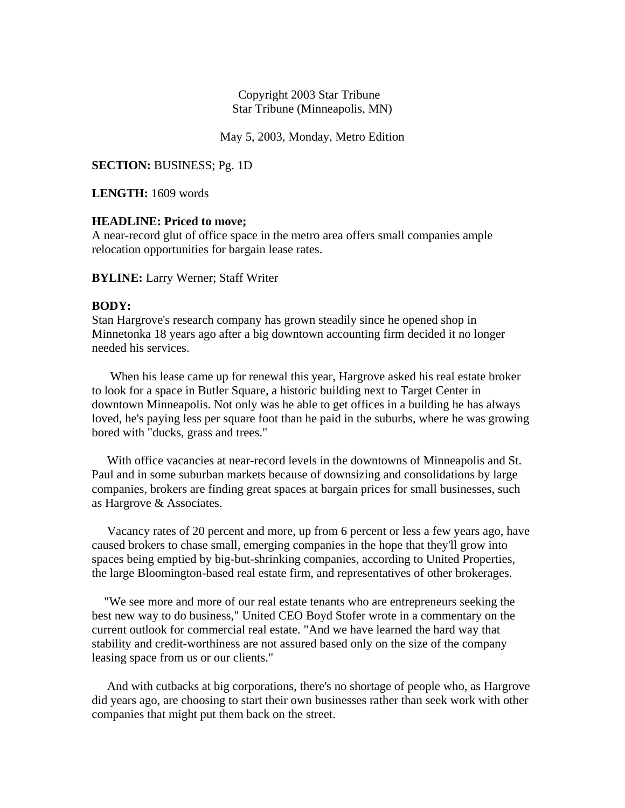## Copyright 2003 Star Tribune Star Tribune (Minneapolis, MN)

May 5, 2003, Monday, Metro Edition

**SECTION:** BUSINESS; Pg. 1D

**LENGTH:** 1609 words

## **HEADLINE: Priced to move;**

A near-record glut of office space in the metro area offers small companies ample relocation opportunities for bargain lease rates.

**BYLINE:** Larry Werner; Staff Writer

## **BODY:**

Stan Hargrove's research company has grown steadily since he opened shop in Minnetonka 18 years ago after a big downtown accounting firm decided it no longer needed his services.

 When his lease came up for renewal this year, Hargrove asked his real estate broker to look for a space in Butler Square, a historic building next to Target Center in downtown Minneapolis. Not only was he able to get offices in a building he has always loved, he's paying less per square foot than he paid in the suburbs, where he was growing bored with "ducks, grass and trees."

 With office vacancies at near-record levels in the downtowns of Minneapolis and St. Paul and in some suburban markets because of downsizing and consolidations by large companies, brokers are finding great spaces at bargain prices for small businesses, such as Hargrove & Associates.

 Vacancy rates of 20 percent and more, up from 6 percent or less a few years ago, have caused brokers to chase small, emerging companies in the hope that they'll grow into spaces being emptied by big-but-shrinking companies, according to United Properties, the large Bloomington-based real estate firm, and representatives of other brokerages.

 "We see more and more of our real estate tenants who are entrepreneurs seeking the best new way to do business," United CEO Boyd Stofer wrote in a commentary on the current outlook for commercial real estate. "And we have learned the hard way that stability and credit-worthiness are not assured based only on the size of the company leasing space from us or our clients."

 And with cutbacks at big corporations, there's no shortage of people who, as Hargrove did years ago, are choosing to start their own businesses rather than seek work with other companies that might put them back on the street.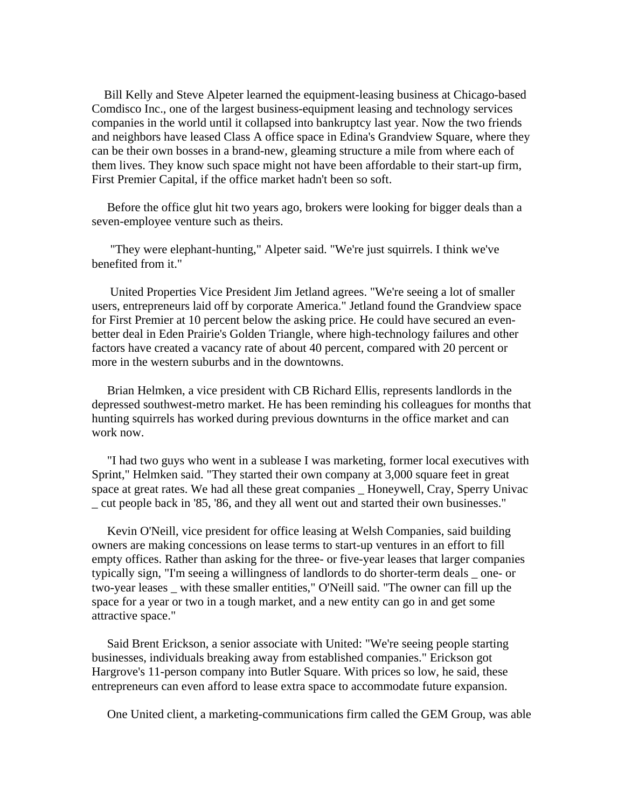Bill Kelly and Steve Alpeter learned the equipment-leasing business at Chicago-based Comdisco Inc., one of the largest business-equipment leasing and technology services companies in the world until it collapsed into bankruptcy last year. Now the two friends and neighbors have leased Class A office space in Edina's Grandview Square, where they can be their own bosses in a brand-new, gleaming structure a mile from where each of them lives. They know such space might not have been affordable to their start-up firm, First Premier Capital, if the office market hadn't been so soft.

 Before the office glut hit two years ago, brokers were looking for bigger deals than a seven-employee venture such as theirs.

 "They were elephant-hunting," Alpeter said. "We're just squirrels. I think we've benefited from it."

 United Properties Vice President Jim Jetland agrees. "We're seeing a lot of smaller users, entrepreneurs laid off by corporate America." Jetland found the Grandview space for First Premier at 10 percent below the asking price. He could have secured an evenbetter deal in Eden Prairie's Golden Triangle, where high-technology failures and other factors have created a vacancy rate of about 40 percent, compared with 20 percent or more in the western suburbs and in the downtowns.

 Brian Helmken, a vice president with CB Richard Ellis, represents landlords in the depressed southwest-metro market. He has been reminding his colleagues for months that hunting squirrels has worked during previous downturns in the office market and can work now.

 "I had two guys who went in a sublease I was marketing, former local executives with Sprint," Helmken said. "They started their own company at 3,000 square feet in great space at great rates. We had all these great companies Honeywell, Cray, Sperry Univac \_ cut people back in '85, '86, and they all went out and started their own businesses."

 Kevin O'Neill, vice president for office leasing at Welsh Companies, said building owners are making concessions on lease terms to start-up ventures in an effort to fill empty offices. Rather than asking for the three- or five-year leases that larger companies typically sign, "I'm seeing a willingness of landlords to do shorter-term deals \_ one- or two-year leases \_ with these smaller entities," O'Neill said. "The owner can fill up the space for a year or two in a tough market, and a new entity can go in and get some attractive space."

 Said Brent Erickson, a senior associate with United: "We're seeing people starting businesses, individuals breaking away from established companies." Erickson got Hargrove's 11-person company into Butler Square. With prices so low, he said, these entrepreneurs can even afford to lease extra space to accommodate future expansion.

One United client, a marketing-communications firm called the GEM Group, was able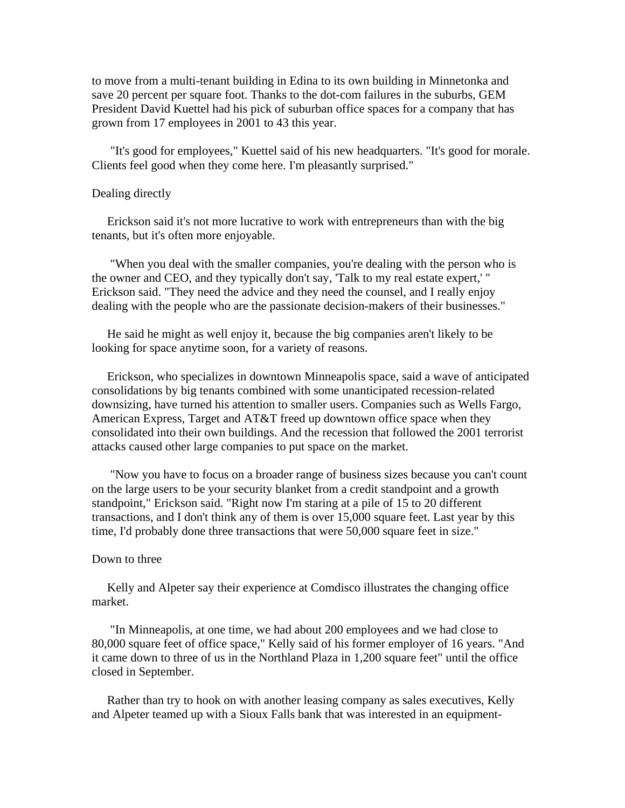to move from a multi-tenant building in Edina to its own building in Minnetonka and save 20 percent per square foot. Thanks to the dot-com failures in the suburbs, GEM President David Kuettel had his pick of suburban office spaces for a company that has grown from 17 employees in 2001 to 43 this year.

 "It's good for employees," Kuettel said of his new headquarters. "It's good for morale. Clients feel good when they come here. I'm pleasantly surprised."

#### Dealing directly

 Erickson said it's not more lucrative to work with entrepreneurs than with the big tenants, but it's often more enjoyable.

 "When you deal with the smaller companies, you're dealing with the person who is the owner and CEO, and they typically don't say, 'Talk to my real estate expert,' " Erickson said. "They need the advice and they need the counsel, and I really enjoy dealing with the people who are the passionate decision-makers of their businesses."

 He said he might as well enjoy it, because the big companies aren't likely to be looking for space anytime soon, for a variety of reasons.

 Erickson, who specializes in downtown Minneapolis space, said a wave of anticipated consolidations by big tenants combined with some unanticipated recession-related downsizing, have turned his attention to smaller users. Companies such as Wells Fargo, American Express, Target and AT&T freed up downtown office space when they consolidated into their own buildings. And the recession that followed the 2001 terrorist attacks caused other large companies to put space on the market.

 "Now you have to focus on a broader range of business sizes because you can't count on the large users to be your security blanket from a credit standpoint and a growth standpoint," Erickson said. "Right now I'm staring at a pile of 15 to 20 different transactions, and I don't think any of them is over 15,000 square feet. Last year by this time, I'd probably done three transactions that were 50,000 square feet in size."

#### Down to three

 Kelly and Alpeter say their experience at Comdisco illustrates the changing office market.

 "In Minneapolis, at one time, we had about 200 employees and we had close to 80,000 square feet of office space," Kelly said of his former employer of 16 years. "And it came down to three of us in the Northland Plaza in 1,200 square feet" until the office closed in September.

 Rather than try to hook on with another leasing company as sales executives, Kelly and Alpeter teamed up with a Sioux Falls bank that was interested in an equipment-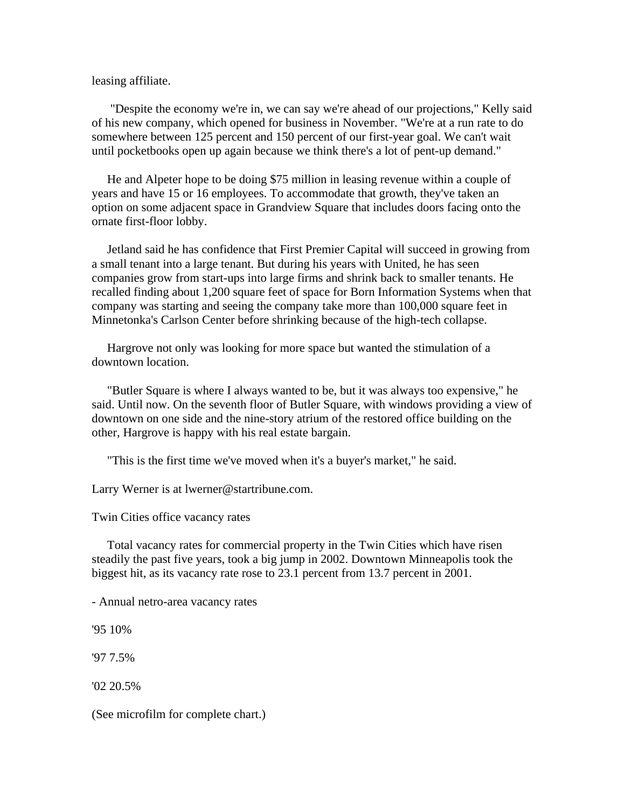### leasing affiliate.

 "Despite the economy we're in, we can say we're ahead of our projections," Kelly said of his new company, which opened for business in November. "We're at a run rate to do somewhere between 125 percent and 150 percent of our first-year goal. We can't wait until pocketbooks open up again because we think there's a lot of pent-up demand."

 He and Alpeter hope to be doing \$75 million in leasing revenue within a couple of years and have 15 or 16 employees. To accommodate that growth, they've taken an option on some adjacent space in Grandview Square that includes doors facing onto the ornate first-floor lobby.

 Jetland said he has confidence that First Premier Capital will succeed in growing from a small tenant into a large tenant. But during his years with United, he has seen companies grow from start-ups into large firms and shrink back to smaller tenants. He recalled finding about 1,200 square feet of space for Born Information Systems when that company was starting and seeing the company take more than 100,000 square feet in Minnetonka's Carlson Center before shrinking because of the high-tech collapse.

 Hargrove not only was looking for more space but wanted the stimulation of a downtown location.

 "Butler Square is where I always wanted to be, but it was always too expensive," he said. Until now. On the seventh floor of Butler Square, with windows providing a view of downtown on one side and the nine-story atrium of the restored office building on the other, Hargrove is happy with his real estate bargain.

"This is the first time we've moved when it's a buyer's market," he said.

Larry Werner is at lwerner@startribune.com.

Twin Cities office vacancy rates

 Total vacancy rates for commercial property in the Twin Cities which have risen steadily the past five years, took a big jump in 2002. Downtown Minneapolis took the biggest hit, as its vacancy rate rose to 23.1 percent from 13.7 percent in 2001.

- Annual netro-area vacancy rates

'95 10%

'97 7.5%

'02 20.5%

(See microfilm for complete chart.)